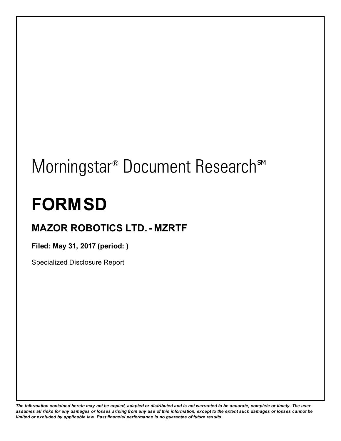# Morningstar<sup>®</sup> Document Research<sup>sM</sup>

# **FORMSD**

# **MAZOR ROBOTICS LTD.- MZRTF**

**Filed: May 31, 2017 (period: )**

Specialized Disclosure Report

The information contained herein may not be copied, adapted or distributed and is not warranted to be accurate, complete or timely. The user assumes all risks for any damages or losses arising from any use of this information, except to the extent such damages or losses cannot be *limited or excluded by applicable law. Past financial performance is no guarantee of future results.*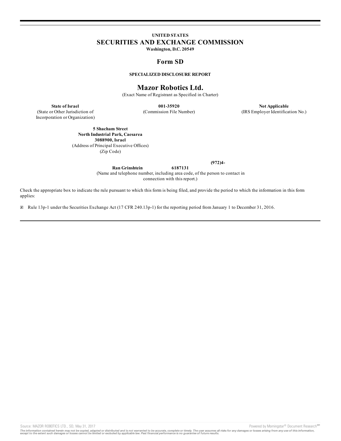# **UNITED STATES SECURITIES AND EXCHANGE COMMISSION**

**Washington, D.C. 20549**

# **Form SD**

### **SPECIALIZED DISCLOSURE REPORT**

# **Mazor Robotics Ltd.**

(Exact Name of Registrant as Specified in Charter)

(State or Other Jurisdiction of Incorporation or Organization)

**State of Israel 001-35920 Not Applicable** (Commission File Number) (IRS Employer Identification No.)

**5 Shacham Street North Industrial Park, Caesarea 3088900, Israel** (Address of Principal Executive Offices)

(Zip Code)

**(972)4-**

**Ran Grinshtein 6187131** (Name and telephone number, including area code, of the person to contact in connection with this report.)

Check the appropriate box to indicate the rule pursuant to which this form is being filed, and provide the period to which the information in this form applies:

☒ Rule 13p-1 under the Securities Exchange Act (17 CFR 240.13p-1) for the reporting period from January 1 to December 31, 2016.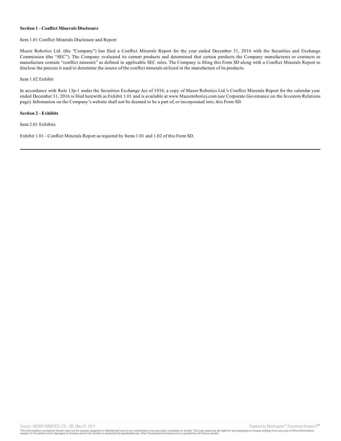#### **Section 1 - Conflict Minerals Disclosure**

#### Item 1.01 Conflict Minerals Disclosure and Report

Mazor Robotics Ltd. (the "Company") has filed a Conflict Minerals Report for the year ended December 31, 2016 with the Securities and Exchange Commission (the "SEC"). The Company evaluated its current products and determined that certain products the Company manufactures or contracts to manufacture contain "conflict minerals" as defined in applicable SEC rules. The Company is filing this Form SD along with a Conflict Minerals Report to disclose the process it used to determine the source of the conflict minerals utilized in the manufacture of its products.

Item 1.02 Exhibit

In accordance with Rule 13p-1 under the Securities Exchange Act of 1934, a copy of Mazor Robotics Ltd.'s Conflict Minerals Report for the calendar year ended December 31, 2016 is filed herewith as Exhibit 1.01 and is available at www.Mazorrobotics.com (see Corporate Governance on the Investors Relations page). Information on the Company's website shall not be deemed to be a part of, or incorporated into, this Form SD.

#### **Section 2 - Exhibits**

Item 2.01 Exhibits

Exhibit 1.01 - Conflict Minerals Report as required by Items 1.01 and 1.02 of this Form SD.

Source: MAZOR ROBOTICS LTD., SD, May 31, 2017 **Powered by Morningstar<sup>®</sup> Document Research<sup>sM</sup>** 

The information contained herein may not be copied, adapted or distributed and is not warranted to be accurate, complete or timely. The user assumes all risks for any damages or losses arising from any use of this informat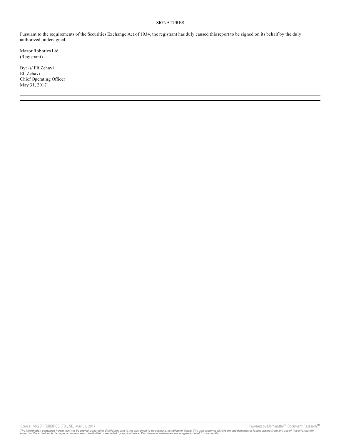#### SIGNATURES

Pursuant to the requirements of the Securities Exchange Act of 1934, the registrant has duly caused this report to be signed on its behalf by the duly authorized undersigned.

Mazor Robotics Ltd. (Registrant)

By: /s/ Eli Zehavi Eli Zehavi Chief Operating Officer May 31, 2017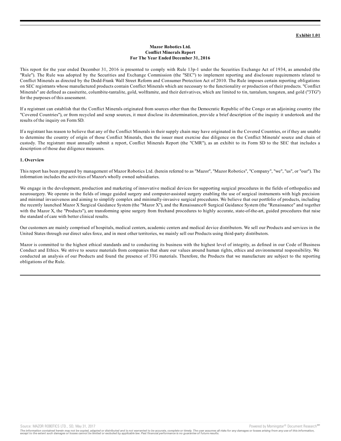#### **Mazor Robotics Ltd. Conflict Minerals Report For The Year Ended December 31, 2016**

This report for the year ended December 31, 2016 is presented to comply with Rule 13p-1 under the Securities Exchange Act of 1934, as amended (the "Rule"). The Rule was adopted by the Securities and Exchange Commission (the "SEC") to implement reporting and disclosure requirements related to Conflict Minerals as directed by the Dodd-Frank Wall Street Reform and Consumer Protection Act of 2010. The Rule imposes certain reporting obligations on SEC registrants whose manufactured products contain Conflict Minerals which are necessary to the functionality or production of their products. "Conflict Minerals" are defined as cassiterite, columbite-tantalite, gold, wolframite, and their derivatives, which are limited to tin, tantalum, tungsten, and gold ("3TG") for the purposes of this assessment.

If a registrant can establish that the Conflict Minerals originated from sources other than the Democratic Republic of the Congo or an adjoining country (the "Covered Countries"), or from recycled and scrap sources, it must disclose its determination, provide a brief description of the inquiry it undertook and the results of the inquiry on Form SD.

If a registrant has reason to believe that any of the Conflict Minerals in their supply chain may have originated in the Covered Countries, or if they are unable to determine the country of origin of those Conflict Minerals, then the issuer must exercise due diligence on the Conflict Minerals' source and chain of custody. The registrant must annually submit a report, Conflict Minerals Report (the "CMR"), as an exhibit to its Form SD to the SEC that includes a description of those due diligence measures.

#### **1. Overview**

This report has been prepared by management of Mazor Robotics Ltd. (herein referred to as "Mazor", "Mazor Robotics", "Company", "we", "us", or "our"). The information includes the activities of Mazor's wholly owned subsidiaries.

We engage in the development, production and marketing of innovative medical devices for supporting surgical procedures in the fields of orthopedics and neurosurgery. We operate in the fields of image guided surgery and computer-assisted surgery enabling the use of surgical instruments with high precision and minimal invasiveness and aiming to simplify complex and minimally-invasive surgical procedures. We believe that our portfolio of products, including the recently launched Mazor X Surgical Guidance System (the "Mazor X"), and the Renaissance® Surgical Guidance System (the "Renaissance" and together with the Mazor X, the "Products"), are transforming spine surgery from freehand procedures to highly accurate, state-of-the-art, guided procedures that raise the standard of care with better clinical results.

Our customers are mainly comprised of hospitals, medical centers, academic centers and medical device distributors. We sell our Products and services in the United States through our direct sales force, and in most other territories, we mainly sell our Products using third-party distributors.

Mazor is committed to the highest ethical standards and to conducting its business with the highest level of integrity, as defined in our Code of Business Conduct and Ethics. We strive to source materials from companies that share our values around human rights, ethics and environmental responsibility. We conducted an analysis of our Products and found the presence of 3TG materials. Therefore, the Products that we manufacture are subject to the reporting obligations of the Rule.

Source: MAZOR ROBOTICS LTD., SD, May 31, 2017 **Powered by Morningstar<sup>®</sup> Document Research<sup>sM</sup>**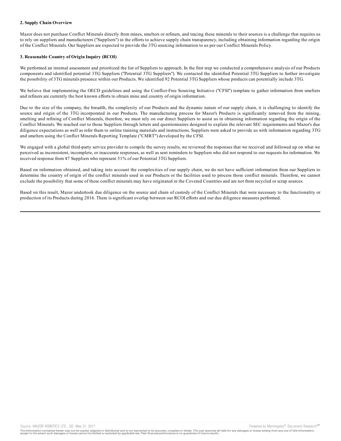#### **2. Supply Chain Overview**

Mazor does not purchase Conflict Minerals directly from mines, smelters or refiners, and tracing these minerals to their sources is a challenge that requires us to rely on suppliers and manufacturers ("Suppliers") in the efforts to achieve supply chain transparency, including obtaining information regarding the origin of the Conflict Minerals. Our Suppliers are expected to provide the 3TG sourcing information to us per our Conflict Minerals Policy.

#### **3. Reasonable Country of Origin Inquiry (RCOI)**

We performed an internal assessment and prioritized the list of Suppliers to approach. In the first step we conducted a comprehensive analysis of our Products components and identified potential 3TG Suppliers ("Potential 3TG Suppliers"). We contacted the identified Potential 3TG Suppliers to further investigate the possibility of 3TG minerals presence within our Products. We identified 92 Potential 3TG Suppliers whose products can potentially include 3TG.

We believe that implementing the OECD guidelines and using the Conflict-Free Sourcing Initiative ("CFSI") template to gather information from smelters and refiners are currently the best known efforts to obtain mine and country of origin information.

Due to the size of the company, the breadth, the complexity of our Products and the dynamic nature of our supply chain, it is challenging to identify the source and origin of the 3TG incorporated in our Products. The manufacturing process for Mazor's Products is significantly removed from the mining, smelting and refining of Conflict Minerals, therefore, we must rely on our direct Suppliers to assist us in obtaining information regarding the origin of the Conflict Minerals. We reached out to those Suppliers through letters and questionnaires designed to explain the relevant SEC requirements and Mazor's due diligence expectations as well as refer them to online training materials and instructions. Suppliers were asked to provide us with information regarding 3TG and smelters using the Conflict Minerals Reporting Template ("CMRT") developed by the CFSI.

We engaged with a global third-party service provider to compile the survey results, we reviewed the responses that we received and followed up on what we perceived as inconsistent, incomplete, or inaccurate responses, as well as sent reminders to Suppliers who did not respond to our requests for information. We received response from 47 Suppliers who represent 51% of our Potential 3TG Suppliers.

Based on information obtained, and taking into account the complexities of our supply chain, we do not have sufficient information from our Suppliers to determine the country of origin of the conflict minerals used in our Products or the facilities used to process those conflict minerals. Therefore, we cannot exclude the possibility that some of these conflict minerals may have originated in the Covered Countries and are not from recycled or scrap sources.

Based on this result, Mazor undertook due diligence on the source and chain of custody of the Conflict Minerals that were necessary to the functionality or production of its Products during 2016. There is significant overlap between our RCOI efforts and our due diligence measures performed.

Source: MAZOR ROBOTICS LTD., SD, May 31, 2017 **Provided by Morningstar® Document Research** structure and the second structure of the second structure of the second structure of the second structure of the second structure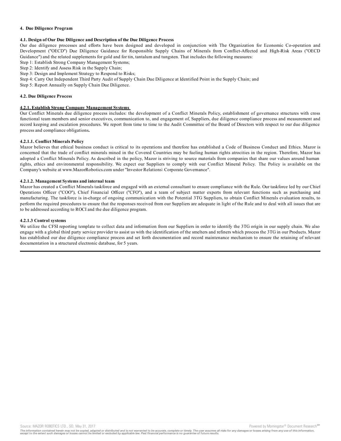#### **4. Due Diligence Program**

#### **4.1. Design of Our Due Diligence and Description of the Due Diligence Process**

Our due diligence processes and efforts have been designed and developed in conjunction with The Organization for Economic Co-operation and Development ("OECD") Due Diligence Guidance for Responsible Supply Chains of Minerals from Conflict-Affected and High-Risk Areas ("OECD Guidance") and the related supplements for gold and for tin, tantalum and tungsten. That includes the following measures:

Step 1: Establish Strong Company Management Systems;

Step 2: Identify and Assess Risk in the Supply Chain;

Step 3: Design and Implement Strategy to Respond to Risks;

Step 4: Carry Out Independent Third Party Audit of Supply Chain Due Diligence at Identified Point in the Supply Chain; and

Step 5: Report Annually on Supply Chain Due Diligence.

#### **4.2. Due Diligence Process**

#### **4.2.1. Establish Strong Company Management Systems**

Our Conflict Minerals due diligence process includes: the development of a Conflict Minerals Policy, establishment of governance structures with cross functional team members and senior executives, communication to, and engagement of, Suppliers, due diligence compliance process and measurement and record keeping and escalation procedures. We report from time to time to the Audit Committee of the Board of Directors with respect to our due diligence process and compliance obligations**.**

#### **4.2.1.1. Conflict Minerals Policy**

Mazor believes that ethical business conduct is critical to its operations and therefore has established a Code of Business Conduct and Ethics. Mazor is concerned that the trade of conflict minerals mined in the Covered Countries may be fueling human rights atrocities in the region. Therefore, Mazor has adopted a Conflict Minerals Policy. As described in the policy, Mazor is striving to source materials from companies that share our values around human rights, ethics and environmental responsibility. We expect our Suppliers to comply with our Conflict Mineral Policy. The Policy is available on the Company's website at www.MazorRobotics.com under "Investor Relations\ Corporate Governance".

#### **4.2.1.2. Management Systems and internal team**

Mazor has created a Conflict Minerals taskforce and engaged with an external consultant to ensure compliance with the Rule. Our taskforce led by our Chief Operations Officer ("COO"), Chief Financial Officer ("CFO"), and a team of subject matter experts from relevant functions such as purchasing and manufacturing. The taskforce is in-charge of ongoing communication with the Potential 3TG Suppliers, to obtain Conflict Minerals evaluation results, to perform the required procedures to ensure that the responses received from our Suppliers are adequate in light of the Rule and to deal with all issues that are to be addressed according to ROCI and the due diligence program.

#### **4.2.1.3 Control systems**

We utilize the CFSI reporting template to collect data and information from our Suppliers in order to identify the 3TG origin in our supply chain. We also engage with a global third party service provider to assist us with the identification of the smelters and refiners which process the 3TG in our Products. Mazor has established our due diligence compliance process and set forth documentation and record maintenance mechanism to ensure the retaining of relevant documentation in a structured electronic database, for 5 years.

Source: MAZOR ROBOTICS LTD., SD, May 31, 2017 Powered by Morningstar® Document Research Street by Morningstar® Document Research Street by Morningstar® Document Research Street by Morningstar® Document Research Street by M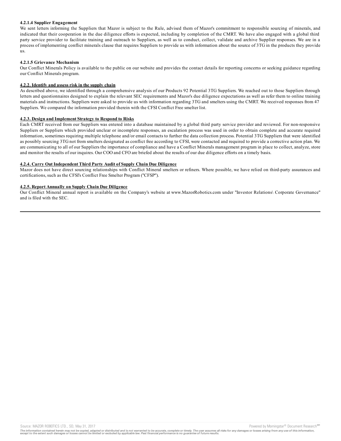#### **4.2.1.4 Supplier Engagement**

We sent letters informing the Suppliers that Mazor is subject to the Rule, advised them of Mazor's commitment to responsible sourcing of minerals, and indicated that their cooperation in the due diligence efforts is expected, including by completion of the CMRT. We have also engaged with a global third party service provider to facilitate training and outreach to Suppliers, as well as to conduct, collect, validate and archive Supplier responses. We are in a process of implementing conflict minerals clause that requires Suppliers to provide us with information about the source of 3TG in the products they provide us.

#### **4.2.1.5 Grievance Mechanism**

Our Conflict Minerals Policy is available to the public on our website and provides the contact details for reporting concerns or seeking guidance regarding our Conflict Minerals program.

#### **4.2.2. Identify and assess risk in the supply chain**

As described above, we identified through a comprehensive analysis of our Products 92 Potential 3TG Suppliers. We reached out to those Suppliers through letters and questionnaires designed to explain the relevant SEC requirements and Mazor's due diligence expectations as well as refer them to online training materials and instructions. Suppliers were asked to provide us with information regarding 3TG and smelters using the CMRT. We received responses from 47 Suppliers. We compared the information provided therein with the CFSI Conflict Free smelter list.

#### **4.2.3. Design and Implement Strategy to Respond to Risks**

Each CMRT received from our Suppliers was entered into a database maintained by a global third party service provider and reviewed. For non-responsive Suppliers or Suppliers which provided unclear or incomplete responses, an escalation process was used in order to obtain complete and accurate required information, sometimes requiring multiple telephone and/or email contacts to further the data collection process. Potential 3TG Suppliers that were identified as possibly sourcing 3TG not from smelters designated as conflict free according to CFSI, were contacted and required to provide a corrective action plan. We are communicating to all of our Suppliers the importance of compliance and have a Conflict Minerals management program in place to collect, analyze, store and monitor the results of our inquires. Our COO and CFO are briefed about the results of our due diligence efforts on a timely basis.

#### **4.2.4. Carry Out Independent Third Party Audit of Supply Chain Due Diligence**

Mazor does not have direct sourcing relationships with Conflict Mineral smelters or refiners. Where possible, we have relied on third-party assurances and certifications, such as the CFSI's Conflict Free Smelter Program ("CFSP").

#### **4.2.5. Report Annually on Supply Chain Due Diligence**

Our Conflict Mineral annual report is available on the Company's website at www.MazorRobotics.com under "Investor Relations\ Corporate Governance" and is filed with the SEC.

Source: MAZOR ROBOTICS LTD., SD, May 31, 2017 Powered by Morningstar® Document Research Street by Morningstar® Document Research Street by Morningstar® Document Research Street by Morningstar® Document Research Street by M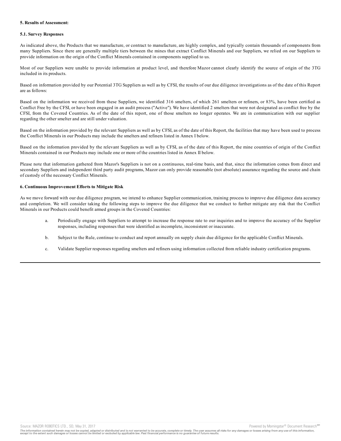#### **5. Results of Assessment:**

#### **5.1. Survey Responses**

As indicated above, the Products that we manufacture, or contract to manufacture, are highly complex, and typically contain thousands of components from many Suppliers. Since there are generally multiple tiers between the mines that extract Conflict Minerals and our Suppliers, we relied on our Suppliers to provide information on the origin of the Conflict Minerals contained in components supplied to us.

Most of our Suppliers were unable to provide information at product level, and therefore Mazor cannot clearly identify the source of origin of the 3TG included in its products.

Based on information provided by our Potential 3TG Suppliers as well as by CFSI, the results of our due diligence investigations as of the date of this Report are as follows:

Based on the information we received from these Suppliers, we identified 316 smelters, of which 261 smelters or refiners, or 83%, have been certified as Conflict Free by the CFSI, or have been engaged in an audit process ("Active"). We have identified 2 smelters that were not designated as conflict free by the CFSI, from the Covered Countries. As of the date of this report, one of those smelters no longer operates. We are in communication with our supplier regarding the other smelter and are still under valuation.

Based on the information provided by the relevant Suppliers as well as by CFSI, as of the date of this Report, the facilities that may have been used to process the Conflict Minerals in our Products may include the smelters and refiners listed in Annex I below.

Based on the information provided by the relevant Suppliers as well as by CFSI, as of the date of this Report, the mine countries of origin of the Conflict Minerals contained in our Products may include one or more of the countries listed in Annex II below.

Please note that information gathered from Mazor's Suppliers is not on a continuous, real-time basis, and that, since the information comes from direct and secondary Suppliers and independent third party audit programs, Mazor can only provide reasonable (not absolute) assurance regarding the source and chain of custody of the necessary Conflict Minerals.

#### **6. Continuous Improvement Efforts to Mitigate Risk**

As we move forward with our due diligence program, we intend to enhance Supplier communication, training process to improve due diligence data accuracy and completion. We will consider taking the following steps to improve the due diligence that we conduct to further mitigate any risk that the Conflict Minerals in our Products could benefit armed groups in the Covered Countries:

- a. Periodically engage with Suppliers to attempt to increase the response rate to our inquiries and to improve the accuracy of the Supplier responses, including responses that were identified as incomplete, inconsistent or inaccurate.
- b. Subject to the Rule, continue to conduct and report annually on supply chain due diligence for the applicable Conflict Minerals.
- c. Validate Supplier responses regarding smelters and refiners using information collected from reliable industry certification programs.

Source: MAZOR ROBOTICS LTD., SD, May 31, 2017 **Provided by Morningstar® Document Research** structure and the second structure of the second structure of the second structure of the second structure of the second structure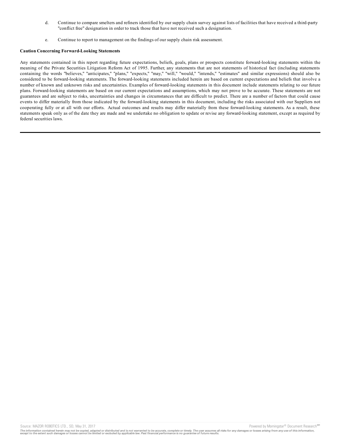- d. Continue to compare smelters and refiners identified by our supply chain survey against lists of facilities that have received a third-party "conflict free" designation in order to track those that have not received such a designation.
- e. Continue to report to management on the findings of our supply chain risk assessment.

#### **Caution Concerning Forward-Looking Statements**

Any statements contained in this report regarding future expectations, beliefs, goals, plans or prospects constitute forward-looking statements within the meaning of the Private Securities Litigation Reform Act of 1995. Further, any statements that are not statements of historical fact (including statements containing the words "believes," "anticipates," "plans," "expects," "may," "will," "would," "intends," "estimates" and similar expressions) should also be considered to be forward-looking statements. The forward-looking statements included herein are based on current expectations and beliefs that involve a number of known and unknown risks and uncertainties. Examples of forward-looking statements in this document include statements relating to our future plans. Forward-looking statements are based on our current expectations and assumptions, which may not prove to be accurate. These statements are not guarantees and are subject to risks, uncertainties and changes in circumstances that are difficult to predict. There are a number of factors that could cause events to differ materially from those indicated by the forward-looking statements in this document, including the risks associated with our Suppliers not cooperating fully or at all with our efforts. Actual outcomes and results may differ materially from these forward-looking statements. As a result, these statements speak only as of the date they are made and we undertake no obligation to update or revise any forward-looking statement, except as required by federal securities laws.

The information contained herein may not be copied, adapted or distributed and is not warranted to be accurate, complete or timely. The user assumes all risks for any damages or losses arising from any use of this informat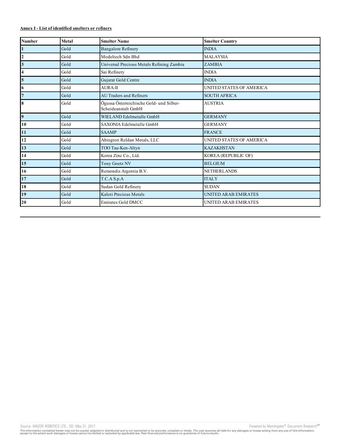## **Annex I - List of identified smelters or refiners**

| <b>Number</b>           | <b>Metal</b> | <b>Smelter Name</b>                                             | <b>Smelter Country</b>      |
|-------------------------|--------------|-----------------------------------------------------------------|-----------------------------|
| $\mathbf{1}$            | Gold         | <b>Bangalore Refinery</b>                                       | <b>INDIA</b>                |
| $\overline{2}$          | Gold         | Modeltech Sdn Bhd                                               | <b>MALAYSIA</b>             |
| $\overline{\mathbf{3}}$ | Gold         | Universal Precious Metals Refining Zambia                       | <b>ZAMBIA</b>               |
| $\overline{\mathbf{4}}$ | Gold         | Sai Refinery                                                    | <b>INDIA</b>                |
| 5                       | Gold         | Gujarat Gold Centre                                             | <b>INDIA</b>                |
| 6                       | Gold         | <b>AURA-II</b>                                                  | UNITED STATES OF AMERICA    |
| $\overline{7}$          | Gold         | <b>AU Traders and Refiners</b>                                  | <b>SOUTH AFRICA</b>         |
| 8                       | Gold         | Ögussa Österreichische Gold- und Silber-<br>Scheideanstalt GmbH | <b>AUSTRIA</b>              |
| $\overline{9}$          | Gold         | WIELAND Edelmetalle GmbH                                        | <b>GERMANY</b>              |
| 10                      | Gold         | SAXONIA Edelmetalle GmbH                                        | <b>GERMANY</b>              |
| 11                      | Gold         | <b>SAAMP</b>                                                    | <b>FRANCE</b>               |
| 12                      | Gold         | Abington Reldan Metals, LLC                                     | UNITED STATES OF AMERICA    |
| 13                      | Gold         | TOO Tau-Ken-Altyn                                               | <b>KAZAKHSTAN</b>           |
| 14                      | Gold         | Korea Zinc Co., Ltd.                                            | KOREA (REPUBLIC OF)         |
| 15                      | Gold         | Tony Goetz NV                                                   | <b>BELGIUM</b>              |
| 16                      | Gold         | Remondis Argentia B.V.                                          | <b>NETHERLANDS</b>          |
| 17                      | Gold         | T.C.A S.p.A                                                     | <b>ITALY</b>                |
| 18                      | Gold         | Sudan Gold Refinery                                             | <b>SUDAN</b>                |
| 19                      | Gold         | Kaloti Precious Metals                                          | <b>UNITED ARAB EMIRATES</b> |
| 20                      | Gold         | <b>Emirates Gold DMCC</b>                                       | <b>UNITED ARAB EMIRATES</b> |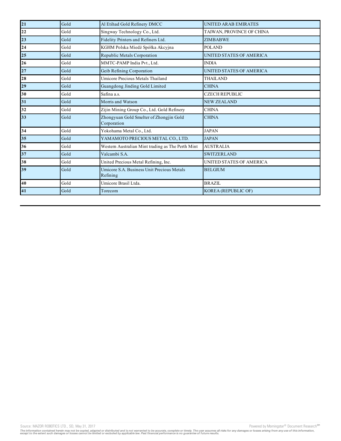| 21 | Gold | Al Etihad Gold Refinery DMCC                           | <b>UNITED ARAB EMIRATES</b> |
|----|------|--------------------------------------------------------|-----------------------------|
| 22 | Gold | Singway Technology Co., Ltd.                           | TAIWAN, PROVINCE OF CHINA   |
| 23 | Gold | Fidelity Printers and Refiners Ltd.                    | <b>ZIMBABWE</b>             |
| 24 | Gold | KGHM Polska Miedź Spółka Akcyjna                       | <b>POLAND</b>               |
| 25 | Gold | Republic Metals Corporation                            | UNITED STATES OF AMERICA    |
| 26 | Gold | MMTC-PAMP India Pvt., Ltd.                             | <b>INDIA</b>                |
| 27 | Gold | Geib Refining Corporation                              | UNITED STATES OF AMERICA    |
| 28 | Gold | Umicore Precious Metals Thailand                       | THAILAND                    |
| 29 | Gold | Guangdong Jinding Gold Limited                         | <b>CHINA</b>                |
| 30 | Gold | Safina a.s.                                            | <b>CZECH REPUBLIC</b>       |
| 31 | Gold | Morris and Watson                                      | <b>NEW ZEALAND</b>          |
| 32 | Gold | Zijin Mining Group Co., Ltd. Gold Refinery             | <b>CHINA</b>                |
| 33 | Gold | Zhongyuan Gold Smelter of Zhongjin Gold<br>Corporation | <b>CHINA</b>                |
| 34 | Gold | Yokohama Metal Co., Ltd.                               | <b>JAPAN</b>                |
| 35 | Gold | YAMAMOTO PRECIOUS METAL CO., LTD.                      | <b>JAPAN</b>                |
| 36 | Gold | Western Australian Mint trading as The Perth Mint      | <b>AUSTRALIA</b>            |
| 37 | Gold | Valcambi S.A.                                          | <b>SWITZERLAND</b>          |
| 38 | Gold | United Precious Metal Refining, Inc.                   | UNITED STATES OF AMERICA    |
| 39 | Gold | Umicore S.A. Business Unit Precious Metals<br>Refining | <b>BELGIUM</b>              |
| 40 | Gold | Umicore Brasil Ltda.                                   | <b>BRAZIL</b>               |
| 41 | Gold | Torecom                                                | <b>KOREA (REPUBLIC OF)</b>  |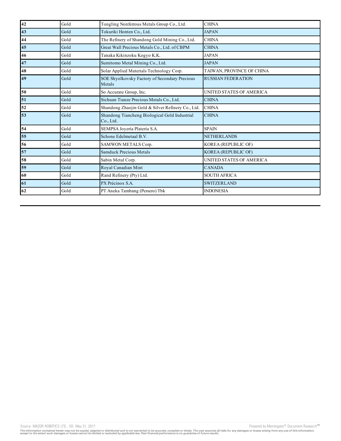| 42 | Gold | Tongling Nonferrous Metals Group Co., Ltd.                 | <b>CHINA</b>               |
|----|------|------------------------------------------------------------|----------------------------|
| 43 | Gold | Tokuriki Honten Co., Ltd.                                  | <b>JAPAN</b>               |
| 44 | Gold | The Refinery of Shandong Gold Mining Co., Ltd.             | <b>CHINA</b>               |
| 45 | Gold | Great Wall Precious Metals Co., Ltd. of CBPM               | <b>CHINA</b>               |
| 46 | Gold | Tanaka Kikinzoku Kogyo K.K.                                | <b>JAPAN</b>               |
| 47 | Gold | Sumitomo Metal Mining Co., Ltd.                            | <b>JAPAN</b>               |
| 48 | Gold | Solar Applied Materials Technology Corp.                   | TAIWAN, PROVINCE OF CHINA  |
| 49 | Gold | SOE Shyolkovsky Factory of Secondary Precious<br>Metals    | <b>RUSSIAN FEDERATION</b>  |
| 50 | Gold | So Accurate Group, Inc.                                    | UNITED STATES OF AMERICA   |
| 51 | Gold | Sichuan Tianze Precious Metals Co., Ltd.                   | <b>CHINA</b>               |
| 52 | Gold | Shandong Zhaojin Gold & Silver Refinery Co., Ltd.          | <b>CHINA</b>               |
| 53 | Gold | Shandong Tiancheng Biological Gold Industrial<br>Co., Ltd. | <b>CHINA</b>               |
| 54 | Gold | SEMPSA Joyería Platería S.A.                               | <b>SPAIN</b>               |
| 55 | Gold | Schone Edelmetaal B.V.                                     | <b>NETHERLANDS</b>         |
| 56 | Gold | SAMWON METALS Corp.                                        | KOREA (REPUBLIC OF)        |
| 57 | Gold | Samduck Precious Metals                                    | <b>KOREA (REPUBLIC OF)</b> |
| 58 | Gold | Sabin Metal Corp.                                          | UNITED STATES OF AMERICA   |
| 59 | Gold | Royal Canadian Mint                                        | <b>CANADA</b>              |
| 60 | Gold | Rand Refinery (Pty) Ltd.                                   | <b>SOUTH AFRICA</b>        |
| 61 | Gold | PX Précinox S.A.                                           | <b>SWITZERLAND</b>         |
| 62 | Gold | PT Aneka Tambang (Persero) Tbk                             | <b>INDONESIA</b>           |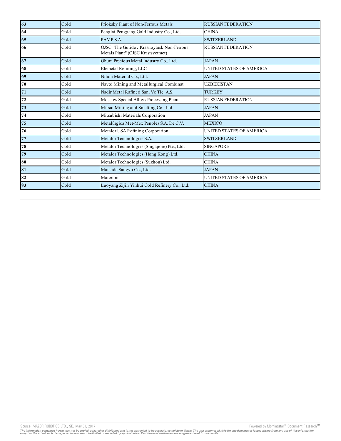| 63 | Gold | Prioksky Plant of Non-Ferrous Metals                                           | <b>RUSSIAN FEDERATION</b> |
|----|------|--------------------------------------------------------------------------------|---------------------------|
| 64 | Gold | Penglai Penggang Gold Industry Co., Ltd.                                       | <b>CHINA</b>              |
| 65 | Gold | PAMP S.A.                                                                      | <b>SWITZERLAND</b>        |
| 66 | Gold | OJSC "The Gulidov Krasnoyarsk Non-Ferrous<br>Metals Plant" (OJSC Krastsvetmet) | <b>RUSSIAN FEDERATION</b> |
| 67 | Gold | Ohura Precious Metal Industry Co., Ltd.                                        | <b>JAPAN</b>              |
| 68 | Gold | Elemetal Refining, LLC                                                         | UNITED STATES OF AMERICA  |
| 69 | Gold | Nihon Material Co., Ltd.                                                       | <b>JAPAN</b>              |
| 70 | Gold | Navoi Mining and Metallurgical Combinat                                        | <b>UZBEKISTAN</b>         |
| 71 | Gold | Nadir Metal Rafineri San. Ve Tic. A.Ş.                                         | <b>TURKEY</b>             |
| 72 | Gold | Moscow Special Alloys Processing Plant                                         | <b>RUSSIAN FEDERATION</b> |
| 73 | Gold | Mitsui Mining and Smelting Co., Ltd.                                           | <b>JAPAN</b>              |
| 74 | Gold | Mitsubishi Materials Corporation                                               | <b>JAPAN</b>              |
| 75 | Gold | Metalúrgica Met-Mex Peñoles S.A. De C.V.                                       | <b>MEXICO</b>             |
| 76 | Gold | Metalor USA Refining Corporation                                               | UNITED STATES OF AMERICA  |
| 77 | Gold | Metalor Technologies S.A.                                                      | <b>SWITZERLAND</b>        |
| 78 | Gold | Metalor Technologies (Singapore) Pte., Ltd.                                    | <b>SINGAPORE</b>          |
| 79 | Gold | Metalor Technologies (Hong Kong) Ltd.                                          | <b>CHINA</b>              |
| 80 | Gold | Metalor Technologies (Suzhou) Ltd.                                             | <b>CHINA</b>              |
| 81 | Gold | Matsuda Sangyo Co., Ltd.                                                       | <b>JAPAN</b>              |
| 82 | Gold | Materion                                                                       | UNITED STATES OF AMERICA  |
| 83 | Gold | Luoyang Zijin Yinhui Gold Refinery Co., Ltd.                                   | <b>CHINA</b>              |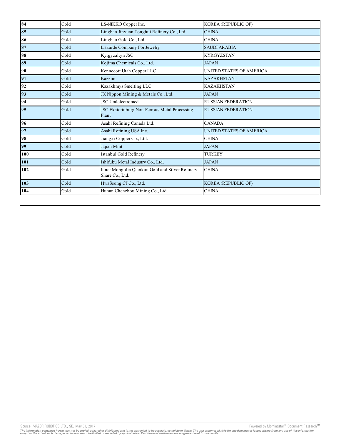| 84  | Gold | LS-NIKKO Copper Inc.                                               | <b>KOREA (REPUBLIC OF)</b> |
|-----|------|--------------------------------------------------------------------|----------------------------|
| 85  | Gold | Lingbao Jinyuan Tonghui Refinery Co., Ltd.                         | <b>CHINA</b>               |
| 86  | Gold | Lingbao Gold Co., Ltd.                                             | <b>CHINA</b>               |
| 87  | Gold | L'azurde Company For Jewelry                                       | <b>SAUDI ARABIA</b>        |
| 88  | Gold | Kyrgyzaltyn JSC                                                    | <b>KYRGYZSTAN</b>          |
| 89  | Gold | Kojima Chemicals Co., Ltd.                                         | <b>JAPAN</b>               |
| 90  | Gold | Kennecott Utah Copper LLC                                          | UNITED STATES OF AMERICA   |
| 91  | Gold | Kazzinc                                                            | <b>KAZAKHSTAN</b>          |
| 92  | Gold | Kazakhmys Smelting LLC                                             | <b>KAZAKHSTAN</b>          |
| 93  | Gold | JX Nippon Mining & Metals Co., Ltd.                                | <b>JAPAN</b>               |
| 94  | Gold | <b>JSC</b> Uralelectromed                                          | <b>RUSSIAN FEDERATION</b>  |
| 95  | Gold | JSC Ekaterinburg Non-Ferrous Metal Processing<br>Plant             | <b>RUSSIAN FEDERATION</b>  |
| 96  | Gold | Asahi Refining Canada Ltd.                                         | <b>CANADA</b>              |
| 97  | Gold | Asahi Refining USA Inc.                                            | UNITED STATES OF AMERICA   |
| 98  | Gold | Jiangxi Copper Co., Ltd.                                           | <b>CHINA</b>               |
| 99  | Gold | Japan Mint                                                         | <b>JAPAN</b>               |
| 100 | Gold | Istanbul Gold Refinery                                             | <b>TURKEY</b>              |
| 101 | Gold | Ishifuku Metal Industry Co., Ltd.                                  | <b>JAPAN</b>               |
| 102 | Gold | Inner Mongolia Qiankun Gold and Silver Refinery<br>Share Co., Ltd. | <b>CHINA</b>               |
| 103 | Gold | HwaSeong CJ Co., Ltd.                                              | <b>KOREA (REPUBLIC OF)</b> |
| 104 | Gold | Hunan Chenzhou Mining Co., Ltd.                                    | <b>CHINA</b>               |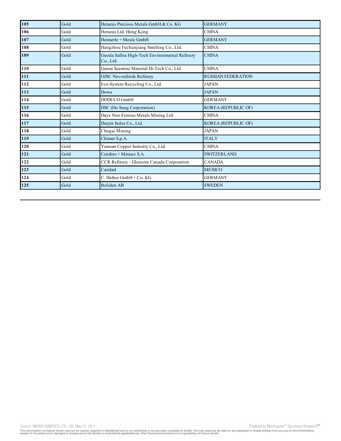| 105 | Gold | Heraeus Precious Metals GmbH & Co. KG                      | <b>GERMANY</b>             |
|-----|------|------------------------------------------------------------|----------------------------|
| 106 | Gold | Heraeus Ltd. Hong Kong                                     | <b>CHINA</b>               |
| 107 | Gold | Heimerle + Meule GmbH                                      | <b>GERMANY</b>             |
| 108 | Gold | Hangzhou Fuchunjiang Smelting Co., Ltd.                    | <b>CHINA</b>               |
| 109 | Gold | Guoda Safina High-Tech Environmental Refinery<br>Co., Ltd. | <b>CHINA</b>               |
| 110 | Gold | Gansu Seemine Material Hi-Tech Co., Ltd.                   | <b>CHINA</b>               |
| 111 | Gold | <b>OJSC Novosibirsk Refinery</b>                           | <b>RUSSIAN FEDERATION</b>  |
| 112 | Gold | Eco-System Recycling Co., Ltd.                             | <b>JAPAN</b>               |
| 113 | Gold | Dowa                                                       | <b>JAPAN</b>               |
| 114 | Gold | DODUCO GmbH                                                | <b>GERMANY</b>             |
| 115 | Gold | DSC (Do Sung Corporation)                                  | <b>KOREA</b> (REPUBLIC OF) |
| 116 | Gold | Daye Non-Ferrous Metals Mining Ltd.                        | <b>CHINA</b>               |
| 117 | Gold | Daejin Indus Co., Ltd.                                     | KOREA (REPUBLIC OF)        |
| 118 | Gold | Chugai Mining                                              | <b>JAPAN</b>               |
| 119 | Gold | Chimet S.p.A.                                              | <b>ITALY</b>               |
| 120 | Gold | Yunnan Copper Industry Co., Ltd.                           | <b>CHINA</b>               |
| 121 | Gold | Cendres + Métaux S.A.                                      | <b>SWITZERLAND</b>         |
| 122 | Gold | CCR Refinery - Glencore Canada Corporation                 | <b>CANADA</b>              |
| 123 | Gold | Caridad                                                    | <b>MEXICO</b>              |
| 124 | Gold | C. Hafner GmbH + Co. KG                                    | <b>GERMANY</b>             |
| 125 | Gold | <b>Boliden AB</b>                                          | <b>SWEDEN</b>              |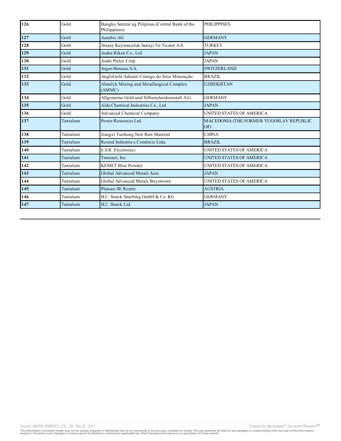| 126 | Gold     | Bangko Sentral ng Pilipinas (Central Bank of the<br>Philippines) | PHILIPPINES                                    |
|-----|----------|------------------------------------------------------------------|------------------------------------------------|
| 127 | Gold     | Aurubis AG                                                       | <b>GERMANY</b>                                 |
| 128 | Gold     | Atasay Kuyumculuk Sanayi Ve Ticaret A.S.                         | <b>TURKEY</b>                                  |
| 129 | Gold     | Asaka Riken Co., Ltd.                                            | <b>JAPAN</b>                                   |
| 130 | Gold     | Asahi Pretec Corp.                                               | <b>JAPAN</b>                                   |
| 131 | Gold     | Argor-Heraeus S.A.                                               | <b>SWITZERLAND</b>                             |
| 132 | Gold     | AngloGold Ashanti Córrego do Sítio Mineração                     | <b>BRAZIL</b>                                  |
| 133 | Gold     | Almalyk Mining and Metallurgical Complex<br>(AMMC)               | <b>UZBEKISTAN</b>                              |
| 134 | Gold     | Allgemeine Gold-und Silberscheideanstalt A.G.                    | <b>GERMANY</b>                                 |
| 135 | Gold     | Aida Chemical Industries Co., Ltd.                               | <b>JAPAN</b>                                   |
| 136 | Gold     | <b>Advanced Chemical Company</b>                                 | UNITED STATES OF AMERICA                       |
| 137 | Tantalum | Power Resources Ltd.                                             | MACEDONIA (THE FORMER YUGOSLAV REPUBLIC<br>OF) |
| 138 | Tantalum | Jiangxi Tuohong New Raw Material                                 | <b>CHINA</b>                                   |
| 139 | Tantalum | Resind Indústria e Comércio Ltda.                                | <b>BRAZIL</b>                                  |
| 140 | Tantalum | <b>E.S.R. Electronics</b>                                        | UNITED STATES OF AMERICA                       |
| 141 | Tantalum | Tranzact, Inc.                                                   | UNITED STATES OF AMERICA                       |
| 142 | Tantalum | <b>KEMET Blue Powder</b>                                         | UNITED STATES OF AMERICA                       |
| 143 | Tantalum | Global Advanced Metals Aizu                                      | <b>JAPAN</b>                                   |
| 144 | Tantalum | Global Advanced Metals Boyertown                                 | UNITED STATES OF AMERICA                       |
| 145 | Tantalum | <b>Plansee SE Reutte</b>                                         | <b>AUSTRIA</b>                                 |
| 146 | Tantalum | H.C. Starck Smelting GmbH & Co. KG                               | <b>GERMANY</b>                                 |
| 147 | Tantalum | H.C. Starck Ltd.                                                 | <b>JAPAN</b>                                   |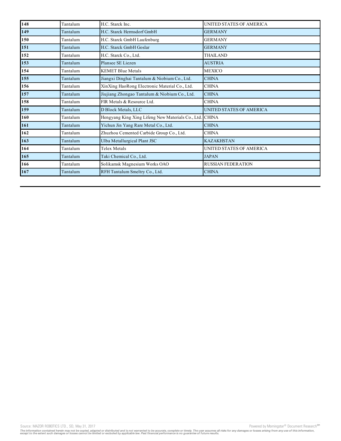| 148 | Tantalum | H.C. Starck Inc.                                        | UNITED STATES OF AMERICA  |
|-----|----------|---------------------------------------------------------|---------------------------|
| 149 | Tantalum | H.C. Starck Hermsdorf GmbH                              | <b>GERMANY</b>            |
| 150 | Tantalum | H.C. Starck GmbH Laufenburg                             | <b>GERMANY</b>            |
| 151 | Tantalum | H.C. Starck GmbH Goslar                                 | <b>GERMANY</b>            |
| 152 | Tantalum | H.C. Starck Co., Ltd.                                   | THAILAND                  |
| 153 | Tantalum | Plansee SE Liezen                                       | <b>AUSTRIA</b>            |
| 154 | Tantalum | <b>KEMET Blue Metals</b>                                | <b>MEXICO</b>             |
| 155 | Tantalum | Jiangxi Dinghai Tantalum & Niobium Co., Ltd.            | <b>CHINA</b>              |
| 156 | Tantalum | XinXing HaoRong Electronic Material Co., Ltd.           | <b>CHINA</b>              |
| 157 | Tantalum | Jiujiang Zhongao Tantalum & Niobium Co., Ltd.           | <b>CHINA</b>              |
| 158 | Tantalum | FIR Metals & Resource Ltd.                              | <b>CHINA</b>              |
| 159 | Tantalum | D Block Metals, LLC                                     | UNITED STATES OF AMERICA  |
| 160 | Tantalum | Hengyang King Xing Lifeng New Materials Co., Ltd. CHINA |                           |
| 161 | Tantalum | Yichun Jin Yang Rare Metal Co., Ltd.                    | <b>CHINA</b>              |
| 162 | Tantalum | Zhuzhou Cemented Carbide Group Co., Ltd.                | <b>CHINA</b>              |
| 163 | Tantalum | Ulba Metallurgical Plant JSC                            | <b>KAZAKHSTAN</b>         |
| 164 | Tantalum | <b>Telex Metals</b>                                     | UNITED STATES OF AMERICA  |
| 165 | Tantalum | Taki Chemical Co., Ltd.                                 | <b>JAPAN</b>              |
| 166 | Tantalum | Solikamsk Magnesium Works OAO                           | <b>RUSSIAN FEDERATION</b> |
| 167 | Tantalum | RFH Tantalum Smeltry Co., Ltd.                          | <b>CHINA</b>              |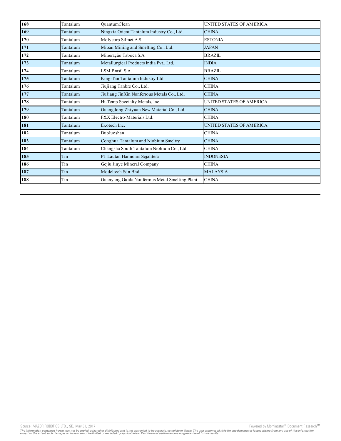| 168 | Tantalum | OuantumClean                                   | UNITED STATES OF AMERICA |
|-----|----------|------------------------------------------------|--------------------------|
| 169 | Tantalum | Ningxia Orient Tantalum Industry Co., Ltd.     | <b>CHINA</b>             |
| 170 | Tantalum | Molycorp Silmet A.S.                           | <b>ESTONIA</b>           |
| 171 | Tantalum | Mitsui Mining and Smelting Co., Ltd.           | <b>JAPAN</b>             |
| 172 | Tantalum | Mineração Taboca S.A.                          | <b>BRAZIL</b>            |
| 173 | Tantalum | Metallurgical Products India Pvt., Ltd.        | <b>INDIA</b>             |
| 174 | Tantalum | LSM Brasil S.A.                                | <b>BRAZIL</b>            |
| 175 | Tantalum | King-Tan Tantalum Industry Ltd.                | <b>CHINA</b>             |
| 176 | Tantalum | Jiujiang Tanbre Co., Ltd.                      | <b>CHINA</b>             |
| 177 | Tantalum | JiuJiang JinXin Nonferrous Metals Co., Ltd.    | <b>CHINA</b>             |
| 178 | Tantalum | Hi-Temp Specialty Metals, Inc.                 | UNITED STATES OF AMERICA |
| 179 | Tantalum | Guangdong Zhiyuan New Material Co., Ltd.       | <b>CHINA</b>             |
| 180 | Tantalum | F&X Electro-Materials Ltd.                     | <b>CHINA</b>             |
| 181 | Tantalum | Exotech Inc.                                   | UNITED STATES OF AMERICA |
| 182 | Tantalum | Duoluoshan                                     | <b>CHINA</b>             |
| 183 | Tantalum | Conghua Tantalum and Niobium Smeltry           | <b>CHINA</b>             |
| 184 | Tantalum | Changsha South Tantalum Niobium Co., Ltd.      | <b>CHINA</b>             |
| 185 | Tin      | PT Lautan Harmonis Sejahtera                   | <b>INDONESIA</b>         |
| 186 | Tin      | Gejiu Jinye Mineral Company                    | <b>CHINA</b>             |
| 187 | Tin      | Modeltech Sdn Bhd                              | <b>MALAYSIA</b>          |
| 188 | Tin      | Guanyang Guida Nonferrous Metal Smelting Plant | <b>CHINA</b>             |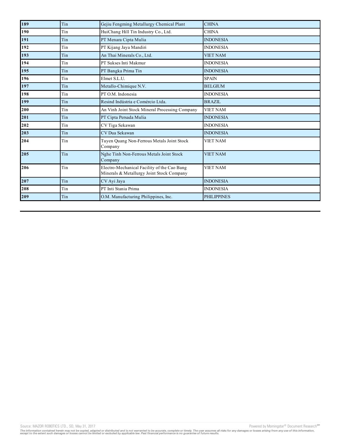| 189 | Tin | Gejiu Fengming Metallurgy Chemical Plant                                                 | <b>CHINA</b>       |
|-----|-----|------------------------------------------------------------------------------------------|--------------------|
| 190 | Tin | HuiChang Hill Tin Industry Co., Ltd.                                                     | <b>CHINA</b>       |
| 191 | Tin | PT Menara Cipta Mulia                                                                    | <b>INDONESIA</b>   |
| 192 | Tin | PT Kijang Jaya Mandiri                                                                   | <b>INDONESIA</b>   |
| 193 | Tin | An Thai Minerals Co., Ltd.                                                               | <b>VIET NAM</b>    |
| 194 | Tin | PT Sukses Inti Makmur                                                                    | <b>INDONESIA</b>   |
| 195 | Tin | PT Bangka Prima Tin                                                                      | <b>INDONESIA</b>   |
| 196 | Tin | Elmet S.L.U.                                                                             | <b>SPAIN</b>       |
| 197 | Tin | Metallo-Chimique N.V.                                                                    | <b>BELGIUM</b>     |
| 198 | Tin | PT O.M. Indonesia                                                                        | <b>INDONESIA</b>   |
| 199 | Tin | Resind Indústria e Comércio Ltda.                                                        | <b>BRAZIL</b>      |
| 200 | Tin | An Vinh Joint Stock Mineral Processing Company                                           | <b>VIET NAM</b>    |
| 201 | Tin | PT Cipta Persada Mulia                                                                   | <b>INDONESIA</b>   |
| 202 | Tin | CV Tiga Sekawan                                                                          | <b>INDONESIA</b>   |
| 203 | Tin | CV Dua Sekawan                                                                           | <b>INDONESIA</b>   |
| 204 | Tin | Tuyen Quang Non-Ferrous Metals Joint Stock<br>Company                                    | <b>VIET NAM</b>    |
| 205 | Tin | Nghe Tinh Non-Ferrous Metals Joint Stock<br>Company                                      | <b>VIET NAM</b>    |
| 206 | Tin | Electro-Mechanical Facility of the Cao Bang<br>Minerals & Metallurgy Joint Stock Company | <b>VIET NAM</b>    |
| 207 | Tin | CV Ayi Jaya                                                                              | <b>INDONESIA</b>   |
| 208 | Tin | PT Inti Stania Prima                                                                     | <b>INDONESIA</b>   |
| 209 | Tin | O.M. Manufacturing Philippines, Inc.                                                     | <b>PHILIPPINES</b> |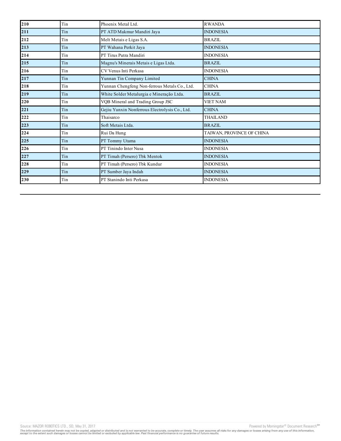| 210 | Tin | Phoenix Metal Ltd.                             | <b>RWANDA</b>             |
|-----|-----|------------------------------------------------|---------------------------|
| 211 | Tin | PT ATD Makmur Mandiri Jaya                     | <b>INDONESIA</b>          |
| 212 | Tin | Melt Metais e Ligas S.A.                       | <b>BRAZIL</b>             |
| 213 | Tin | PT Wahana Perkit Jaya                          | <b>INDONESIA</b>          |
| 214 | Tin | PT Tirus Putra Mandiri                         | <b>INDONESIA</b>          |
| 215 | Tin | Magnu's Minerais Metais e Ligas Ltda.          | <b>BRAZIL</b>             |
| 216 | Tin | CV Venus Inti Perkasa                          | <b>INDONESIA</b>          |
| 217 | Tin | Yunnan Tin Company Limited                     | <b>CHINA</b>              |
| 218 | Tin | Yunnan Chengfeng Non-ferrous Metals Co., Ltd.  | <b>CHINA</b>              |
| 219 | Tin | White Solder Metalurgia e Mineração Ltda.      | <b>BRAZIL</b>             |
| 220 | Tin | VQB Mineral and Trading Group JSC              | <b>VIET NAM</b>           |
| 221 | Tin | Gejiu Yunxin Nonferrous Electrolysis Co., Ltd. | <b>CHINA</b>              |
| 222 | Tin | Thaisarco                                      | <b>THAILAND</b>           |
| 223 | Tin | Soft Metais Ltda.                              | <b>BRAZIL</b>             |
| 224 | Tin | Rui Da Hung                                    | TAIWAN, PROVINCE OF CHINA |
| 225 | Tin | PT Tommy Utama                                 | <b>INDONESIA</b>          |
| 226 | Tin | PT Tinindo Inter Nusa                          | <b>INDONESIA</b>          |
| 227 | Tin | PT Timah (Persero) Tbk Mentok                  | <b>INDONESIA</b>          |
| 228 | Tin | PT Timah (Persero) Tbk Kundur                  | <b>INDONESIA</b>          |
| 229 | Tin | PT Sumber Jaya Indah                           | <b>INDONESIA</b>          |
| 230 | Tin | PT Stanindo Inti Perkasa                       | <b>INDONESIA</b>          |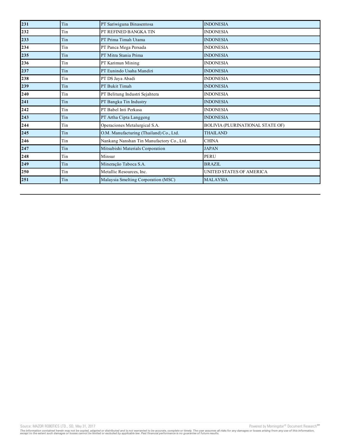| 231 | Tin | PT Sariwiguna Binasentosa                 | <b>INDONESIA</b>                        |
|-----|-----|-------------------------------------------|-----------------------------------------|
| 232 | Tin | PT REFINED BANGKA TIN                     | <b>INDONESIA</b>                        |
| 233 | Tin | PT Prima Timah Utama                      | <b>INDONESIA</b>                        |
| 234 | Tin | PT Panca Mega Persada                     | <b>INDONESIA</b>                        |
| 235 | Tin | PT Mitra Stania Prima                     | <b>INDONESIA</b>                        |
| 236 | Tin | PT Karimun Mining                         | <b>INDONESIA</b>                        |
| 237 | Tin | PT Eunindo Usaha Mandiri                  | <b>INDONESIA</b>                        |
| 238 | Tin | PT DS Jaya Abadi                          | <b>INDONESIA</b>                        |
| 239 | Tin | PT Bukit Timah                            | <b>INDONESIA</b>                        |
| 240 | Tin | PT Belitung Industri Sejahtera            | <b>INDONESIA</b>                        |
| 241 | Tin | PT Bangka Tin Industry                    | <b>INDONESIA</b>                        |
| 242 | Tin | PT Babel Inti Perkasa                     | <b>INDONESIA</b>                        |
| 243 | Tin | PT Artha Cipta Langgeng                   | <b>INDONESIA</b>                        |
| 244 | Tin | Operaciones Metalurgical S.A.             | <b>BOLIVIA (PLURINATIONAL STATE OF)</b> |
| 245 | Tin | O.M. Manufacturing (Thailand) Co., Ltd.   | <b>THAILAND</b>                         |
| 246 | Tin | Nankang Nanshan Tin Manufactory Co., Ltd. | <b>CHINA</b>                            |
| 247 | Tin | Mitsubishi Materials Corporation          | <b>JAPAN</b>                            |
| 248 | Tin | Minsur                                    | <b>PERU</b>                             |
| 249 | Tin | Mineração Taboca S.A.                     | <b>BRAZIL</b>                           |
| 250 | Tin | Metallic Resources, Inc.                  | UNITED STATES OF AMERICA                |
| 251 | Tin | Malaysia Smelting Corporation (MSC)       | <b>MALAYSIA</b>                         |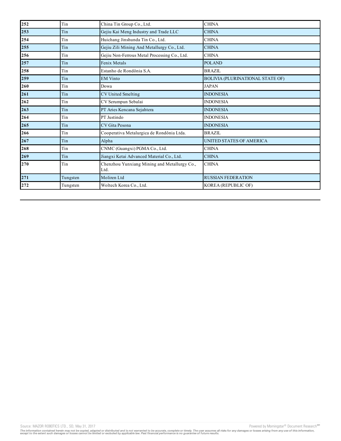| 252 | Tin      | China Tin Group Co., Ltd.                            | <b>CHINA</b>                            |
|-----|----------|------------------------------------------------------|-----------------------------------------|
| 253 | Tin      | Gejiu Kai Meng Industry and Trade LLC                | <b>CHINA</b>                            |
| 254 | Tin      | Huichang Jinshunda Tin Co., Ltd.                     | <b>CHINA</b>                            |
| 255 | Tin      | Gejiu Zili Mining And Metallurgy Co., Ltd.           | <b>CHINA</b>                            |
| 256 | Tin      | Gejiu Non-Ferrous Metal Processing Co., Ltd.         | <b>CHINA</b>                            |
| 257 | Tin      | Fenix Metals                                         | <b>POLAND</b>                           |
| 258 | Tin      | Estanho de Rondônia S.A.                             | BRAZIL                                  |
| 259 | Tin      | <b>EM Vinto</b>                                      | <b>BOLIVIA (PLURINATIONAL STATE OF)</b> |
| 260 | Tin      | Dowa                                                 | <b>JAPAN</b>                            |
| 261 | Tin      | <b>CV United Smelting</b>                            | <b>INDONESIA</b>                        |
| 262 | Tin      | CV Serumpun Sebalai                                  | <b>INDONESIA</b>                        |
| 263 | Tin      | PT Aries Kencana Sejahtera                           | <b>INDONESIA</b>                        |
| 264 | Tin      | PT Justindo                                          | <b>INDONESIA</b>                        |
| 265 | Tin      | CV Gita Pesona                                       | <b>INDONESIA</b>                        |
| 266 | Tin      | Cooperativa Metalurgica de Rondônia Ltda.            | <b>BRAZIL</b>                           |
| 267 | Tin      | Alpha                                                | UNITED STATES OF AMERICA                |
| 268 | Tin      | CNMC (Guangxi) PGMA Co., Ltd.                        | <b>CHINA</b>                            |
| 269 | Tin      | Jiangxi Ketai Advanced Material Co., Ltd.            | <b>CHINA</b>                            |
| 270 | Tin      | Chenzhou Yunxiang Mining and Metallurgy Co.,<br>Ltd. | <b>CHINA</b>                            |
| 271 | Tungsten | Moliren Ltd                                          | <b>RUSSIAN FEDERATION</b>               |
| 272 | Tungsten | Woltech Korea Co., Ltd.                              | <b>KOREA (REPUBLIC OF)</b>              |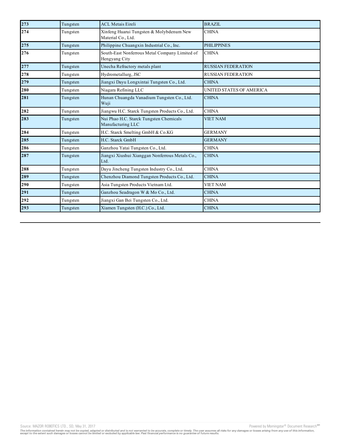| 273 | Tungsten | <b>ACL Metais Eireli</b>                                        | <b>BRAZIL</b>             |
|-----|----------|-----------------------------------------------------------------|---------------------------|
| 274 | Tungsten | Xinfeng Huarui Tungsten & Molybdenum New<br>Material Co., Ltd.  | <b>CHINA</b>              |
| 275 | Tungsten | Philippine Chuangxin Industrial Co., Inc.                       | <b>PHILIPPINES</b>        |
| 276 | Tungsten | South-East Nonferrous Metal Company Limited of<br>Hengyang City | <b>CHINA</b>              |
| 277 | Tungsten | Unecha Refractory metals plant                                  | <b>RUSSIAN FEDERATION</b> |
| 278 | Tungsten | Hydrometallurg, JSC                                             | <b>RUSSIAN FEDERATION</b> |
| 279 | Tungsten | Jiangxi Dayu Longxintai Tungsten Co., Ltd.                      | <b>CHINA</b>              |
| 280 | Tungsten | Niagara Refining LLC                                            | UNITED STATES OF AMERICA  |
| 281 | Tungsten | Hunan Chuangda Vanadium Tungsten Co., Ltd.<br>Wuji              | <b>CHINA</b>              |
| 282 | Tungsten | Jiangwu H.C. Starck Tungsten Products Co., Ltd.                 | <b>CHINA</b>              |
| 283 | Tungsten | Nui Phao H.C. Starck Tungsten Chemicals<br>Manufacturing LLC    | <b>VIET NAM</b>           |
| 284 | Tungsten | H.C. Starck Smelting GmbH & Co.KG                               | <b>GERMANY</b>            |
| 285 | Tungsten | H.C. Starck GmbH                                                | <b>GERMANY</b>            |
| 286 | Tungsten | Ganzhou Yatai Tungsten Co., Ltd.                                | <b>CHINA</b>              |
| 287 | Tungsten | Jiangxi Xiushui Xianggan Nonferrous Metals Co.,<br>Ltd.         | <b>CHINA</b>              |
| 288 | Tungsten | Dayu Jincheng Tungsten Industry Co., Ltd.                       | <b>CHINA</b>              |
| 289 | Tungsten | Chenzhou Diamond Tungsten Products Co., Ltd.                    | <b>CHINA</b>              |
| 290 | Tungsten | Asia Tungsten Products Vietnam Ltd.                             | <b>VIET NAM</b>           |
| 291 | Tungsten | Ganzhou Seadragon W & Mo Co., Ltd.                              | <b>CHINA</b>              |
| 292 | Tungsten | Jiangxi Gan Bei Tungsten Co., Ltd.                              | <b>CHINA</b>              |
| 293 | Tungsten | Xiamen Tungsten (H.C.) Co., Ltd.                                | <b>CHINA</b>              |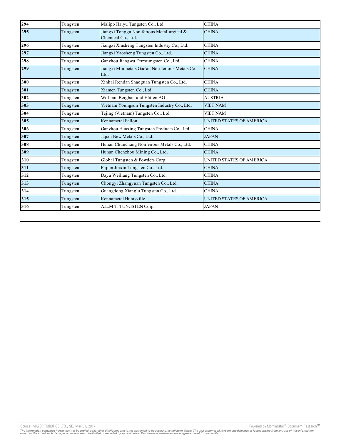| 294 | Tungsten | Malipo Haiyu Tungsten Co., Ltd.                                  | <b>CHINA</b>             |
|-----|----------|------------------------------------------------------------------|--------------------------|
| 295 | Tungsten | Jiangxi Tonggu Non-ferrous Metallurgical &<br>Chemical Co., Ltd. | <b>CHINA</b>             |
| 296 | Tungsten | Jiangxi Xinsheng Tungsten Industry Co., Ltd.                     | <b>CHINA</b>             |
| 297 | Tungsten | Jiangxi Yaosheng Tungsten Co., Ltd.                              | <b>CHINA</b>             |
| 298 | Tungsten | Ganzhou Jiangwu Ferrotungsten Co., Ltd.                          | <b>CHINA</b>             |
| 299 | Tungsten | Jiangxi Minmetals Gao'an Non-ferrous Metals Co.,<br>Ltd.         | <b>CHINA</b>             |
| 300 | Tungsten | Xinhai Rendan Shaoguan Tungsten Co., Ltd.                        | <b>CHINA</b>             |
| 301 | Tungsten | Xiamen Tungsten Co., Ltd.                                        | <b>CHINA</b>             |
| 302 | Tungsten | Wolfram Bergbau und Hütten AG                                    | <b>AUSTRIA</b>           |
| 303 | Tungsten | Vietnam Youngsun Tungsten Industry Co., Ltd.                     | <b>VIET NAM</b>          |
| 304 | Tungsten | Tejing (Vietnam) Tungsten Co., Ltd.                              | <b>VIET NAM</b>          |
| 305 | Tungsten | Kennametal Fallon                                                | UNITED STATES OF AMERICA |
| 306 | Tungsten | Ganzhou Huaxing Tungsten Products Co., Ltd.                      | <b>CHINA</b>             |
| 307 | Tungsten | Japan New Metals Co., Ltd.                                       | <b>JAPAN</b>             |
| 308 | Tungsten | Hunan Chunchang Nonferrous Metals Co., Ltd.                      | <b>CHINA</b>             |
| 309 | Tungsten | Hunan Chenzhou Mining Co., Ltd.                                  | <b>CHINA</b>             |
| 310 | Tungsten | Global Tungsten & Powders Corp.                                  | UNITED STATES OF AMERICA |
| 311 | Tungsten | Fujian Jinxin Tungsten Co., Ltd.                                 | <b>CHINA</b>             |
| 312 | Tungsten | Dayu Weiliang Tungsten Co., Ltd.                                 | <b>CHINA</b>             |
| 313 | Tungsten | Chongyi Zhangyuan Tungsten Co., Ltd.                             | <b>CHINA</b>             |
| 314 | Tungsten | Guangdong Xianglu Tungsten Co., Ltd.                             | <b>CHINA</b>             |
| 315 | Tungsten | Kennametal Huntsville                                            | UNITED STATES OF AMERICA |
| 316 | Tungsten | A.L.M.T. TUNGSTEN Corp.                                          | <b>JAPAN</b>             |